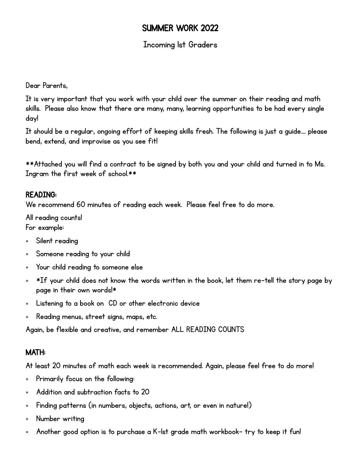## SUMMER WORK 2022

### Incoming 1st Graders

Dear Parents,

It is very important that you work with your child over the summer on their reading and math skills. Please also know that there are many, many, learning opportunities to be had every single day!

It should be a regular, ongoing effort of keeping skills fresh. The following is just a guide…. please bend, extend, and improvise as you see fit!

\*\*Attached you will find a contract to be signed by both you and your child and turned in to Ms. Ingram the first week of school.\*\*

#### READING:

We recommend 60 minutes of reading each week. Please feel free to do more.

All reading counts! For example:

- Silent reading
- Someone reading to your child
- Your child reading to someone else
- $*$   $*$ If your child does not know the words written in the book, let them re-tell the story page by page in their own words!\*
- Listening to a book on CD or other electronic device
- Reading menus, street signs, maps, etc.

Again, be flexible and creative, and remember ALL READING COUNTS

#### MATH:

At least 20 minutes of math each week is recommended. Again, please feel free to do more!

- Primarily focus on the following:
- Addition and subtraction facts to 20
- Finding patterns (in numbers, objects, actions, art, or even in nature!)
- Number writing
- Another good option is to purchase a K-1st grade math workbook– try to keep it fun!